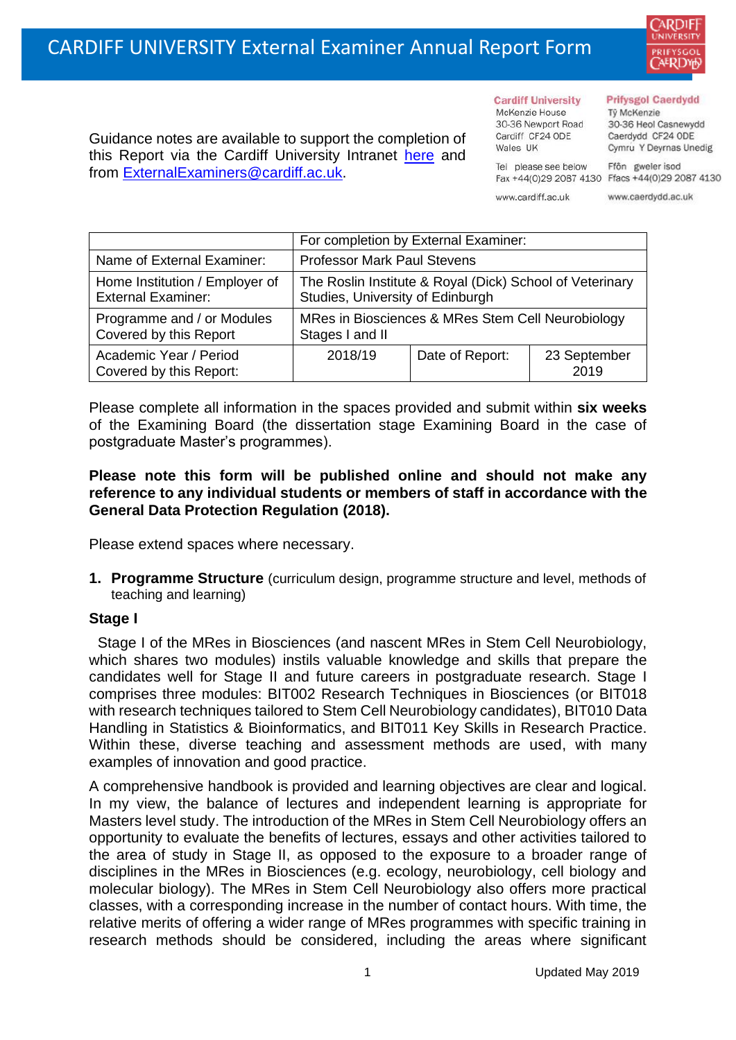

Guidance notes are available to support the completion of this Report via the Cardiff University Intranet [here](https://intranet.cardiff.ac.uk/staff/teaching-and-supporting-students/exams-and-assessment/exam-boards-and-external-examiners/for-current-external-examiners/external-examiners-reports) and from [ExternalExaminers@cardiff.ac.uk.](mailto:ExternalExaminers@cardiff.ac.uk)

**Cardiff University** McKenzie House 30-36 Newport Road Cardiff CF24 ODE

Wales UK

#### **Prifysgol Caerdydd**

Từ McKenzie 30-36 Heol Casnewydd Caerdydd CF24 ODE Cymru Y Deyrnas Unedig

Ffôn gweler isod Fax +44(0)29 2087 4130 Ffacs +44(0)29 2087 4130

www.cardiff.ac.uk

Tel please see below

www.caerdydd.ac.uk

|                                                             | For completion by External Examiner:                                                         |                 |                      |  |  |
|-------------------------------------------------------------|----------------------------------------------------------------------------------------------|-----------------|----------------------|--|--|
| Name of External Examiner:                                  | <b>Professor Mark Paul Stevens</b>                                                           |                 |                      |  |  |
| Home Institution / Employer of<br><b>External Examiner:</b> | The Roslin Institute & Royal (Dick) School of Veterinary<br>Studies, University of Edinburgh |                 |                      |  |  |
| Programme and / or Modules<br>Covered by this Report        | MRes in Biosciences & MRes Stem Cell Neurobiology<br>Stages I and II                         |                 |                      |  |  |
| Academic Year / Period<br>Covered by this Report:           | 2018/19                                                                                      | Date of Report: | 23 September<br>2019 |  |  |

Please complete all information in the spaces provided and submit within **six weeks** of the Examining Board (the dissertation stage Examining Board in the case of postgraduate Master's programmes).

### **Please note this form will be published online and should not make any reference to any individual students or members of staff in accordance with the General Data Protection Regulation (2018).**

Please extend spaces where necessary.

**1. Programme Structure** (curriculum design, programme structure and level, methods of teaching and learning)

### **Stage I**

Stage I of the MRes in Biosciences (and nascent MRes in Stem Cell Neurobiology, which shares two modules) instils valuable knowledge and skills that prepare the candidates well for Stage II and future careers in postgraduate research. Stage I comprises three modules: BIT002 Research Techniques in Biosciences (or BIT018 with research techniques tailored to Stem Cell Neurobiology candidates), BIT010 Data Handling in Statistics & Bioinformatics, and BIT011 Key Skills in Research Practice. Within these, diverse teaching and assessment methods are used, with many examples of innovation and good practice.

A comprehensive handbook is provided and learning objectives are clear and logical. In my view, the balance of lectures and independent learning is appropriate for Masters level study. The introduction of the MRes in Stem Cell Neurobiology offers an opportunity to evaluate the benefits of lectures, essays and other activities tailored to the area of study in Stage II, as opposed to the exposure to a broader range of disciplines in the MRes in Biosciences (e.g. ecology, neurobiology, cell biology and molecular biology). The MRes in Stem Cell Neurobiology also offers more practical classes, with a corresponding increase in the number of contact hours. With time, the relative merits of offering a wider range of MRes programmes with specific training in research methods should be considered, including the areas where significant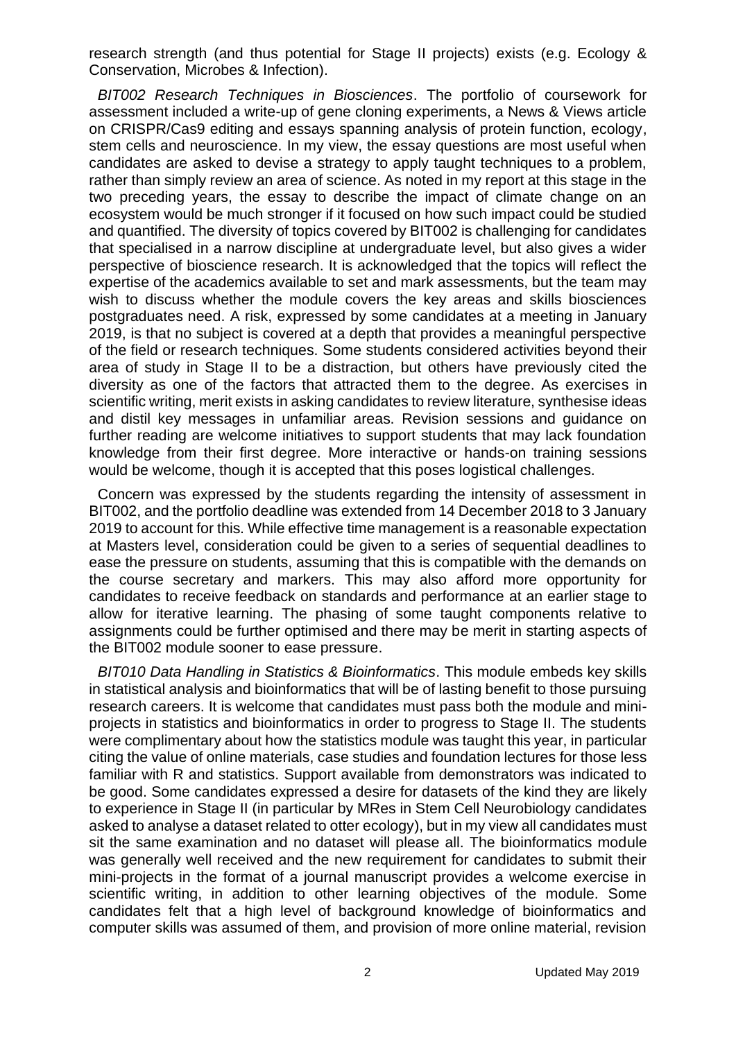research strength (and thus potential for Stage II projects) exists (e.g. Ecology & Conservation, Microbes & Infection).

*BIT002 Research Techniques in Biosciences*. The portfolio of coursework for assessment included a write-up of gene cloning experiments, a News & Views article on CRISPR/Cas9 editing and essays spanning analysis of protein function, ecology, stem cells and neuroscience. In my view, the essay questions are most useful when candidates are asked to devise a strategy to apply taught techniques to a problem, rather than simply review an area of science. As noted in my report at this stage in the two preceding years, the essay to describe the impact of climate change on an ecosystem would be much stronger if it focused on how such impact could be studied and quantified. The diversity of topics covered by BIT002 is challenging for candidates that specialised in a narrow discipline at undergraduate level, but also gives a wider perspective of bioscience research. It is acknowledged that the topics will reflect the expertise of the academics available to set and mark assessments, but the team may wish to discuss whether the module covers the key areas and skills biosciences postgraduates need. A risk, expressed by some candidates at a meeting in January 2019, is that no subject is covered at a depth that provides a meaningful perspective of the field or research techniques. Some students considered activities beyond their area of study in Stage II to be a distraction, but others have previously cited the diversity as one of the factors that attracted them to the degree. As exercises in scientific writing, merit exists in asking candidates to review literature, synthesise ideas and distil key messages in unfamiliar areas. Revision sessions and guidance on further reading are welcome initiatives to support students that may lack foundation knowledge from their first degree. More interactive or hands-on training sessions would be welcome, though it is accepted that this poses logistical challenges.

Concern was expressed by the students regarding the intensity of assessment in BIT002, and the portfolio deadline was extended from 14 December 2018 to 3 January 2019 to account for this. While effective time management is a reasonable expectation at Masters level, consideration could be given to a series of sequential deadlines to ease the pressure on students, assuming that this is compatible with the demands on the course secretary and markers. This may also afford more opportunity for candidates to receive feedback on standards and performance at an earlier stage to allow for iterative learning. The phasing of some taught components relative to assignments could be further optimised and there may be merit in starting aspects of the BIT002 module sooner to ease pressure.

*BIT010 Data Handling in Statistics & Bioinformatics*. This module embeds key skills in statistical analysis and bioinformatics that will be of lasting benefit to those pursuing research careers. It is welcome that candidates must pass both the module and miniprojects in statistics and bioinformatics in order to progress to Stage II. The students were complimentary about how the statistics module was taught this year, in particular citing the value of online materials, case studies and foundation lectures for those less familiar with R and statistics. Support available from demonstrators was indicated to be good. Some candidates expressed a desire for datasets of the kind they are likely to experience in Stage II (in particular by MRes in Stem Cell Neurobiology candidates asked to analyse a dataset related to otter ecology), but in my view all candidates must sit the same examination and no dataset will please all. The bioinformatics module was generally well received and the new requirement for candidates to submit their mini-projects in the format of a journal manuscript provides a welcome exercise in scientific writing, in addition to other learning objectives of the module. Some candidates felt that a high level of background knowledge of bioinformatics and computer skills was assumed of them, and provision of more online material, revision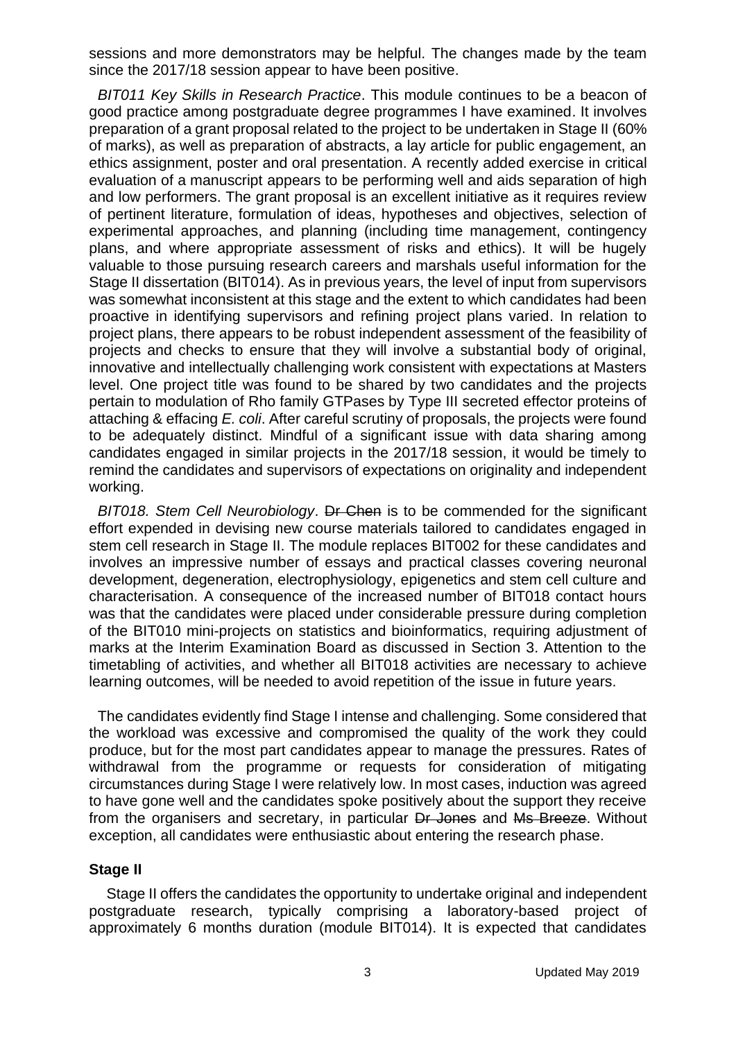sessions and more demonstrators may be helpful. The changes made by the team since the 2017/18 session appear to have been positive.

*BIT011 Key Skills in Research Practice*. This module continues to be a beacon of good practice among postgraduate degree programmes I have examined. It involves preparation of a grant proposal related to the project to be undertaken in Stage II (60% of marks), as well as preparation of abstracts, a lay article for public engagement, an ethics assignment, poster and oral presentation. A recently added exercise in critical evaluation of a manuscript appears to be performing well and aids separation of high and low performers. The grant proposal is an excellent initiative as it requires review of pertinent literature, formulation of ideas, hypotheses and objectives, selection of experimental approaches, and planning (including time management, contingency plans, and where appropriate assessment of risks and ethics). It will be hugely valuable to those pursuing research careers and marshals useful information for the Stage II dissertation (BIT014). As in previous years, the level of input from supervisors was somewhat inconsistent at this stage and the extent to which candidates had been proactive in identifying supervisors and refining project plans varied. In relation to project plans, there appears to be robust independent assessment of the feasibility of projects and checks to ensure that they will involve a substantial body of original, innovative and intellectually challenging work consistent with expectations at Masters level. One project title was found to be shared by two candidates and the projects pertain to modulation of Rho family GTPases by Type III secreted effector proteins of attaching & effacing *E. coli*. After careful scrutiny of proposals, the projects were found to be adequately distinct. Mindful of a significant issue with data sharing among candidates engaged in similar projects in the 2017/18 session, it would be timely to remind the candidates and supervisors of expectations on originality and independent working.

*BIT018. Stem Cell Neurobiology*. Dr Chen is to be commended for the significant effort expended in devising new course materials tailored to candidates engaged in stem cell research in Stage II. The module replaces BIT002 for these candidates and involves an impressive number of essays and practical classes covering neuronal development, degeneration, electrophysiology, epigenetics and stem cell culture and characterisation. A consequence of the increased number of BIT018 contact hours was that the candidates were placed under considerable pressure during completion of the BIT010 mini-projects on statistics and bioinformatics, requiring adjustment of marks at the Interim Examination Board as discussed in Section 3. Attention to the timetabling of activities, and whether all BIT018 activities are necessary to achieve learning outcomes, will be needed to avoid repetition of the issue in future years.

The candidates evidently find Stage I intense and challenging. Some considered that the workload was excessive and compromised the quality of the work they could produce, but for the most part candidates appear to manage the pressures. Rates of withdrawal from the programme or requests for consideration of mitigating circumstances during Stage I were relatively low. In most cases, induction was agreed to have gone well and the candidates spoke positively about the support they receive from the organisers and secretary, in particular Dr Jones and Ms Breeze. Without exception, all candidates were enthusiastic about entering the research phase.

#### **Stage II**

Stage II offers the candidates the opportunity to undertake original and independent postgraduate research, typically comprising a laboratory-based project of approximately 6 months duration (module BIT014). It is expected that candidates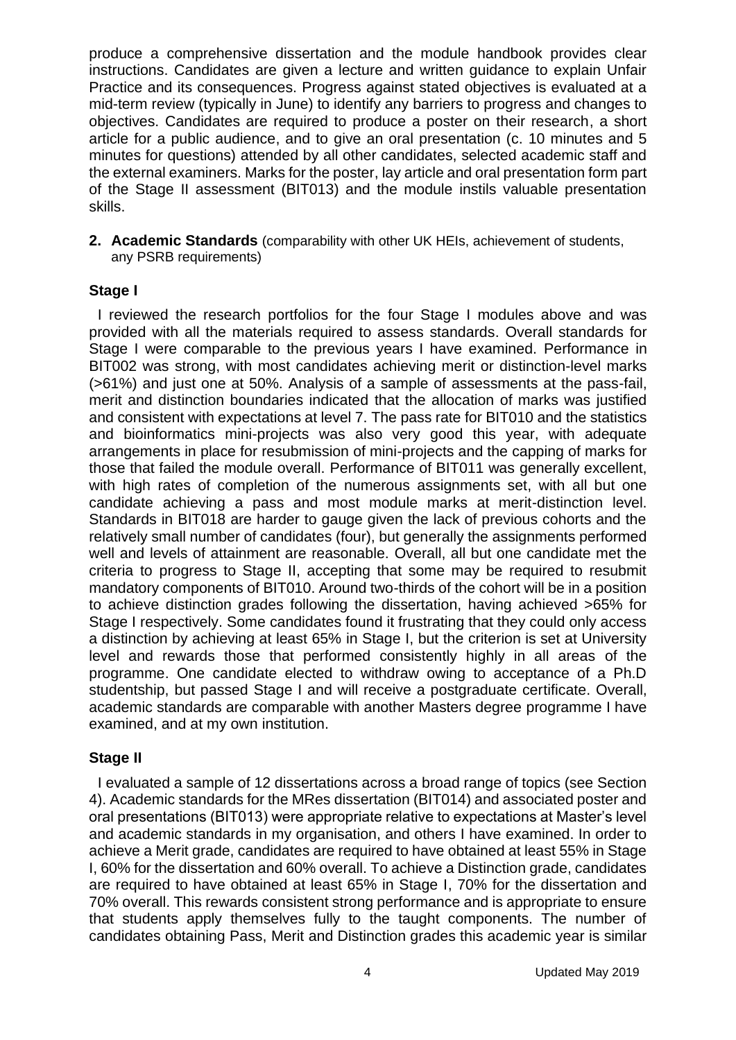produce a comprehensive dissertation and the module handbook provides clear instructions. Candidates are given a lecture and written guidance to explain Unfair Practice and its consequences. Progress against stated objectives is evaluated at a mid-term review (typically in June) to identify any barriers to progress and changes to objectives. Candidates are required to produce a poster on their research, a short article for a public audience, and to give an oral presentation (c. 10 minutes and 5 minutes for questions) attended by all other candidates, selected academic staff and the external examiners. Marks for the poster, lay article and oral presentation form part of the Stage II assessment (BIT013) and the module instils valuable presentation skills.

**2. Academic Standards** (comparability with other UK HEIs, achievement of students, any PSRB requirements)

### **Stage I**

I reviewed the research portfolios for the four Stage I modules above and was provided with all the materials required to assess standards. Overall standards for Stage I were comparable to the previous years I have examined. Performance in BIT002 was strong, with most candidates achieving merit or distinction-level marks (>61%) and just one at 50%. Analysis of a sample of assessments at the pass-fail, merit and distinction boundaries indicated that the allocation of marks was justified and consistent with expectations at level 7. The pass rate for BIT010 and the statistics and bioinformatics mini-projects was also very good this year, with adequate arrangements in place for resubmission of mini-projects and the capping of marks for those that failed the module overall. Performance of BIT011 was generally excellent, with high rates of completion of the numerous assignments set, with all but one candidate achieving a pass and most module marks at merit-distinction level. Standards in BIT018 are harder to gauge given the lack of previous cohorts and the relatively small number of candidates (four), but generally the assignments performed well and levels of attainment are reasonable. Overall, all but one candidate met the criteria to progress to Stage II, accepting that some may be required to resubmit mandatory components of BIT010. Around two-thirds of the cohort will be in a position to achieve distinction grades following the dissertation, having achieved >65% for Stage I respectively. Some candidates found it frustrating that they could only access a distinction by achieving at least 65% in Stage I, but the criterion is set at University level and rewards those that performed consistently highly in all areas of the programme. One candidate elected to withdraw owing to acceptance of a Ph.D studentship, but passed Stage I and will receive a postgraduate certificate. Overall, academic standards are comparable with another Masters degree programme I have examined, and at my own institution.

# **Stage II**

I evaluated a sample of 12 dissertations across a broad range of topics (see Section 4). Academic standards for the MRes dissertation (BIT014) and associated poster and oral presentations (BIT013) were appropriate relative to expectations at Master's level and academic standards in my organisation, and others I have examined. In order to achieve a Merit grade, candidates are required to have obtained at least 55% in Stage I, 60% for the dissertation and 60% overall. To achieve a Distinction grade, candidates are required to have obtained at least 65% in Stage I, 70% for the dissertation and 70% overall. This rewards consistent strong performance and is appropriate to ensure that students apply themselves fully to the taught components. The number of candidates obtaining Pass, Merit and Distinction grades this academic year is similar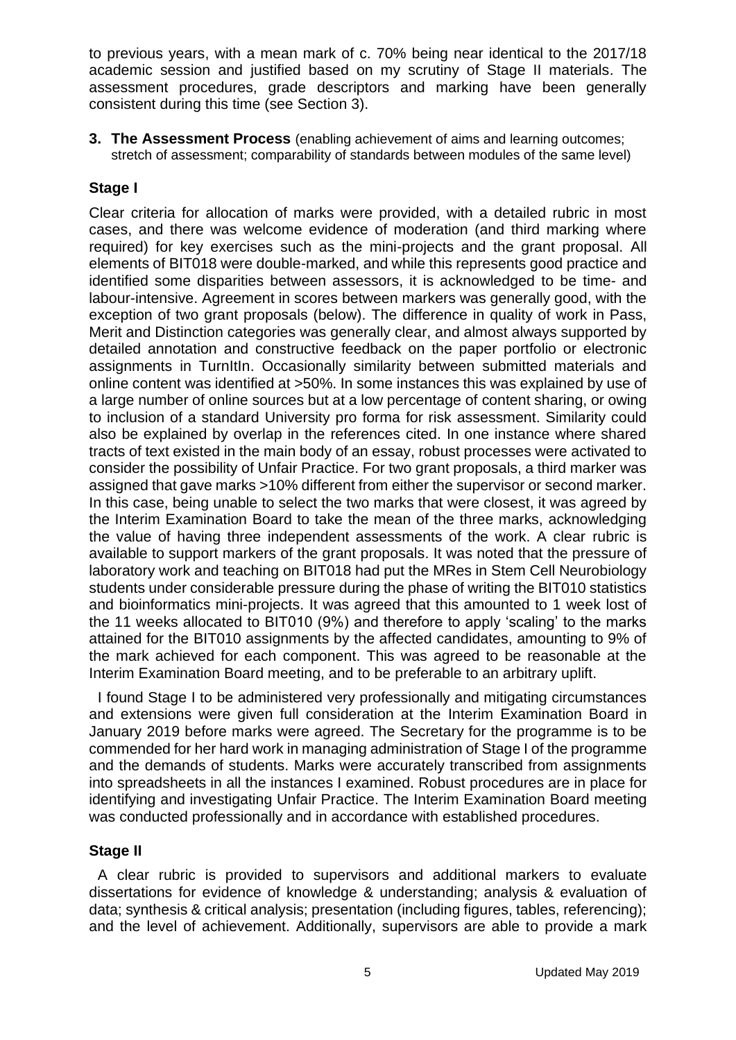to previous years, with a mean mark of c. 70% being near identical to the 2017/18 academic session and justified based on my scrutiny of Stage II materials. The assessment procedures, grade descriptors and marking have been generally consistent during this time (see Section 3).

**3. The Assessment Process** (enabling achievement of aims and learning outcomes; stretch of assessment; comparability of standards between modules of the same level)

# **Stage I**

Clear criteria for allocation of marks were provided, with a detailed rubric in most cases, and there was welcome evidence of moderation (and third marking where required) for key exercises such as the mini-projects and the grant proposal. All elements of BIT018 were double-marked, and while this represents good practice and identified some disparities between assessors, it is acknowledged to be time- and labour-intensive. Agreement in scores between markers was generally good, with the exception of two grant proposals (below). The difference in quality of work in Pass, Merit and Distinction categories was generally clear, and almost always supported by detailed annotation and constructive feedback on the paper portfolio or electronic assignments in TurnItIn. Occasionally similarity between submitted materials and online content was identified at >50%. In some instances this was explained by use of a large number of online sources but at a low percentage of content sharing, or owing to inclusion of a standard University pro forma for risk assessment. Similarity could also be explained by overlap in the references cited. In one instance where shared tracts of text existed in the main body of an essay, robust processes were activated to consider the possibility of Unfair Practice. For two grant proposals, a third marker was assigned that gave marks >10% different from either the supervisor or second marker. In this case, being unable to select the two marks that were closest, it was agreed by the Interim Examination Board to take the mean of the three marks, acknowledging the value of having three independent assessments of the work. A clear rubric is available to support markers of the grant proposals. It was noted that the pressure of laboratory work and teaching on BIT018 had put the MRes in Stem Cell Neurobiology students under considerable pressure during the phase of writing the BIT010 statistics and bioinformatics mini-projects. It was agreed that this amounted to 1 week lost of the 11 weeks allocated to BIT010 (9%) and therefore to apply 'scaling' to the marks attained for the BIT010 assignments by the affected candidates, amounting to 9% of the mark achieved for each component. This was agreed to be reasonable at the Interim Examination Board meeting, and to be preferable to an arbitrary uplift.

I found Stage I to be administered very professionally and mitigating circumstances and extensions were given full consideration at the Interim Examination Board in January 2019 before marks were agreed. The Secretary for the programme is to be commended for her hard work in managing administration of Stage I of the programme and the demands of students. Marks were accurately transcribed from assignments into spreadsheets in all the instances I examined. Robust procedures are in place for identifying and investigating Unfair Practice. The Interim Examination Board meeting was conducted professionally and in accordance with established procedures.

### **Stage II**

A clear rubric is provided to supervisors and additional markers to evaluate dissertations for evidence of knowledge & understanding; analysis & evaluation of data; synthesis & critical analysis; presentation (including figures, tables, referencing); and the level of achievement. Additionally, supervisors are able to provide a mark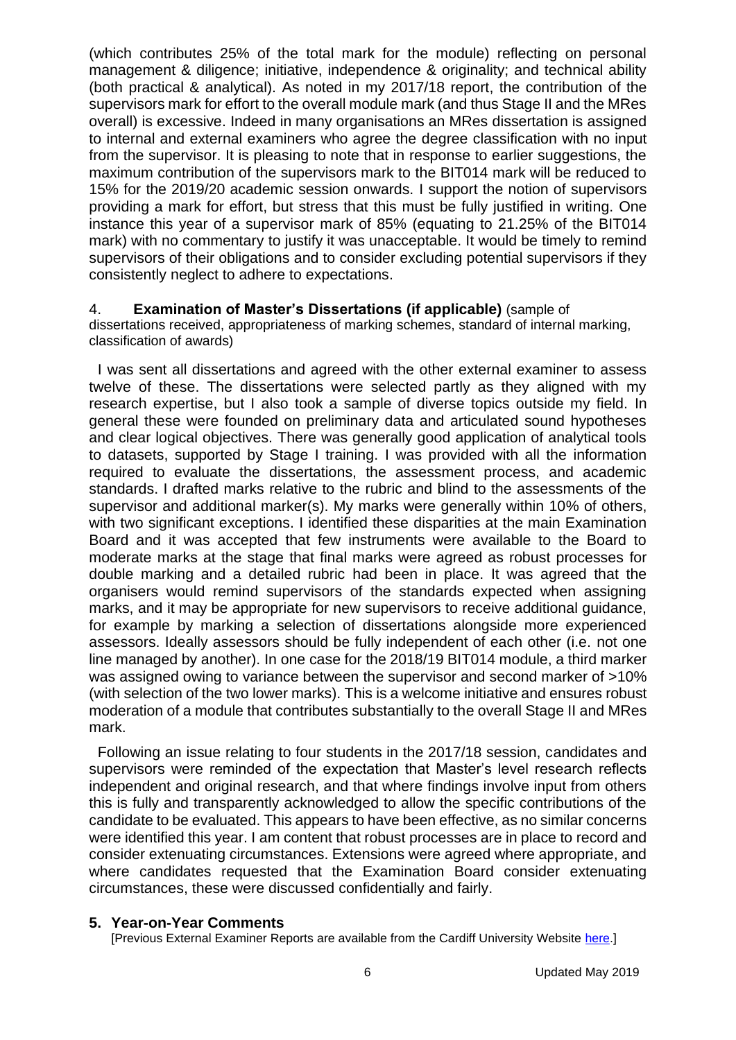(which contributes 25% of the total mark for the module) reflecting on personal management & diligence; initiative, independence & originality; and technical ability (both practical & analytical). As noted in my 2017/18 report, the contribution of the supervisors mark for effort to the overall module mark (and thus Stage II and the MRes overall) is excessive. Indeed in many organisations an MRes dissertation is assigned to internal and external examiners who agree the degree classification with no input from the supervisor. It is pleasing to note that in response to earlier suggestions, the maximum contribution of the supervisors mark to the BIT014 mark will be reduced to 15% for the 2019/20 academic session onwards. I support the notion of supervisors providing a mark for effort, but stress that this must be fully justified in writing. One instance this year of a supervisor mark of 85% (equating to 21.25% of the BIT014 mark) with no commentary to justify it was unacceptable. It would be timely to remind supervisors of their obligations and to consider excluding potential supervisors if they consistently neglect to adhere to expectations.

#### 4. **Examination of Master's Dissertations (if applicable)** (sample of

dissertations received, appropriateness of marking schemes, standard of internal marking, classification of awards)

I was sent all dissertations and agreed with the other external examiner to assess twelve of these. The dissertations were selected partly as they aligned with my research expertise, but I also took a sample of diverse topics outside my field. In general these were founded on preliminary data and articulated sound hypotheses and clear logical objectives. There was generally good application of analytical tools to datasets, supported by Stage I training. I was provided with all the information required to evaluate the dissertations, the assessment process, and academic standards. I drafted marks relative to the rubric and blind to the assessments of the supervisor and additional marker(s). My marks were generally within 10% of others, with two significant exceptions. I identified these disparities at the main Examination Board and it was accepted that few instruments were available to the Board to moderate marks at the stage that final marks were agreed as robust processes for double marking and a detailed rubric had been in place. It was agreed that the organisers would remind supervisors of the standards expected when assigning marks, and it may be appropriate for new supervisors to receive additional guidance, for example by marking a selection of dissertations alongside more experienced assessors. Ideally assessors should be fully independent of each other (i.e. not one line managed by another). In one case for the 2018/19 BIT014 module, a third marker was assigned owing to variance between the supervisor and second marker of >10% (with selection of the two lower marks). This is a welcome initiative and ensures robust moderation of a module that contributes substantially to the overall Stage II and MRes mark.

Following an issue relating to four students in the 2017/18 session, candidates and supervisors were reminded of the expectation that Master's level research reflects independent and original research, and that where findings involve input from others this is fully and transparently acknowledged to allow the specific contributions of the candidate to be evaluated. This appears to have been effective, as no similar concerns were identified this year. I am content that robust processes are in place to record and consider extenuating circumstances. Extensions were agreed where appropriate, and where candidates requested that the Examination Board consider extenuating circumstances, these were discussed confidentially and fairly.

#### **5. Year-on-Year Comments**

[Previous External Examiner Reports are available from the Cardiff University Website [here.](https://www.cardiff.ac.uk/public-information/quality-and-standards/external-examiner-reports)]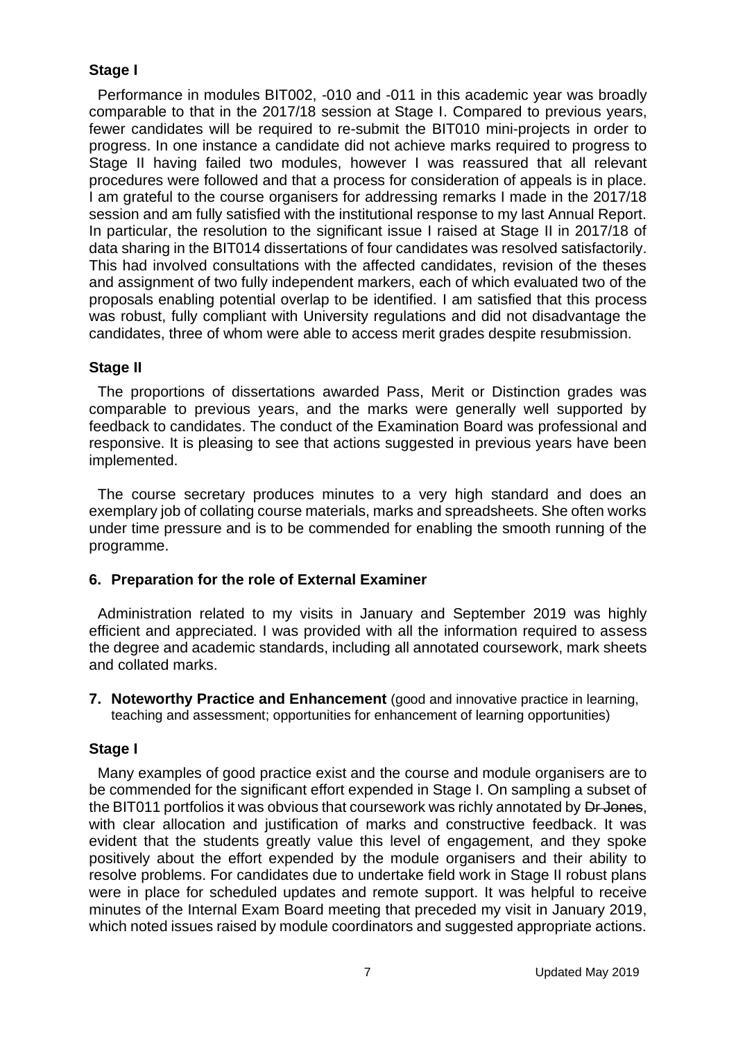# **Stage I**

Performance in modules BIT002, -010 and -011 in this academic year was broadly comparable to that in the 2017/18 session at Stage I. Compared to previous years, fewer candidates will be required to re-submit the BIT010 mini-projects in order to progress. In one instance a candidate did not achieve marks required to progress to Stage II having failed two modules, however I was reassured that all relevant procedures were followed and that a process for consideration of appeals is in place. I am grateful to the course organisers for addressing remarks I made in the 2017/18 session and am fully satisfied with the institutional response to my last Annual Report. In particular, the resolution to the significant issue I raised at Stage II in 2017/18 of data sharing in the BIT014 dissertations of four candidates was resolved satisfactorily. This had involved consultations with the affected candidates, revision of the theses and assignment of two fully independent markers, each of which evaluated two of the proposals enabling potential overlap to be identified. I am satisfied that this process was robust, fully compliant with University regulations and did not disadvantage the candidates, three of whom were able to access merit grades despite resubmission.

# **Stage II**

The proportions of dissertations awarded Pass, Merit or Distinction grades was comparable to previous years, and the marks were generally well supported by feedback to candidates. The conduct of the Examination Board was professional and responsive. It is pleasing to see that actions suggested in previous years have been implemented.

The course secretary produces minutes to a very high standard and does an exemplary job of collating course materials, marks and spreadsheets. She often works under time pressure and is to be commended for enabling the smooth running of the programme.

# **6. Preparation for the role of External Examiner**

Administration related to my visits in January and September 2019 was highly efficient and appreciated. I was provided with all the information required to assess the degree and academic standards, including all annotated coursework, mark sheets and collated marks.

**7. Noteworthy Practice and Enhancement** (good and innovative practice in learning, teaching and assessment; opportunities for enhancement of learning opportunities)

# **Stage I**

Many examples of good practice exist and the course and module organisers are to be commended for the significant effort expended in Stage I. On sampling a subset of the BIT011 portfolios it was obvious that coursework was richly annotated by Dr Jones, with clear allocation and justification of marks and constructive feedback. It was evident that the students greatly value this level of engagement, and they spoke positively about the effort expended by the module organisers and their ability to resolve problems. For candidates due to undertake field work in Stage II robust plans were in place for scheduled updates and remote support. It was helpful to receive minutes of the Internal Exam Board meeting that preceded my visit in January 2019, which noted issues raised by module coordinators and suggested appropriate actions.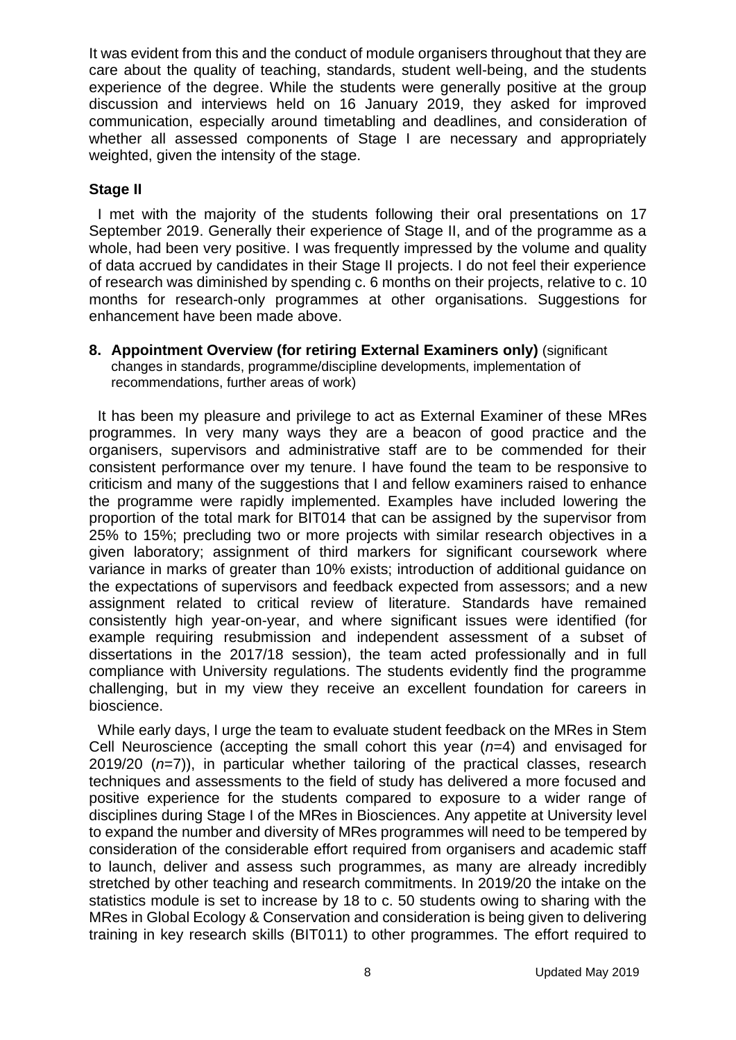It was evident from this and the conduct of module organisers throughout that they are care about the quality of teaching, standards, student well-being, and the students experience of the degree. While the students were generally positive at the group discussion and interviews held on 16 January 2019, they asked for improved communication, especially around timetabling and deadlines, and consideration of whether all assessed components of Stage I are necessary and appropriately weighted, given the intensity of the stage.

# **Stage II**

I met with the majority of the students following their oral presentations on 17 September 2019. Generally their experience of Stage II, and of the programme as a whole, had been very positive. I was frequently impressed by the volume and quality of data accrued by candidates in their Stage II projects. I do not feel their experience of research was diminished by spending c. 6 months on their projects, relative to c. 10 months for research-only programmes at other organisations. Suggestions for enhancement have been made above.

**8. Appointment Overview (for retiring External Examiners only)** (significant changes in standards, programme/discipline developments, implementation of recommendations, further areas of work)

It has been my pleasure and privilege to act as External Examiner of these MRes programmes. In very many ways they are a beacon of good practice and the organisers, supervisors and administrative staff are to be commended for their consistent performance over my tenure. I have found the team to be responsive to criticism and many of the suggestions that I and fellow examiners raised to enhance the programme were rapidly implemented. Examples have included lowering the proportion of the total mark for BIT014 that can be assigned by the supervisor from 25% to 15%; precluding two or more projects with similar research objectives in a given laboratory; assignment of third markers for significant coursework where variance in marks of greater than 10% exists; introduction of additional guidance on the expectations of supervisors and feedback expected from assessors; and a new assignment related to critical review of literature. Standards have remained consistently high year-on-year, and where significant issues were identified (for example requiring resubmission and independent assessment of a subset of dissertations in the 2017/18 session), the team acted professionally and in full compliance with University regulations. The students evidently find the programme challenging, but in my view they receive an excellent foundation for careers in bioscience.

While early days, I urge the team to evaluate student feedback on the MRes in Stem Cell Neuroscience (accepting the small cohort this year (*n*=4) and envisaged for 2019/20 (*n*=7)), in particular whether tailoring of the practical classes, research techniques and assessments to the field of study has delivered a more focused and positive experience for the students compared to exposure to a wider range of disciplines during Stage I of the MRes in Biosciences. Any appetite at University level to expand the number and diversity of MRes programmes will need to be tempered by consideration of the considerable effort required from organisers and academic staff to launch, deliver and assess such programmes, as many are already incredibly stretched by other teaching and research commitments. In 2019/20 the intake on the statistics module is set to increase by 18 to c. 50 students owing to sharing with the MRes in Global Ecology & Conservation and consideration is being given to delivering training in key research skills (BIT011) to other programmes. The effort required to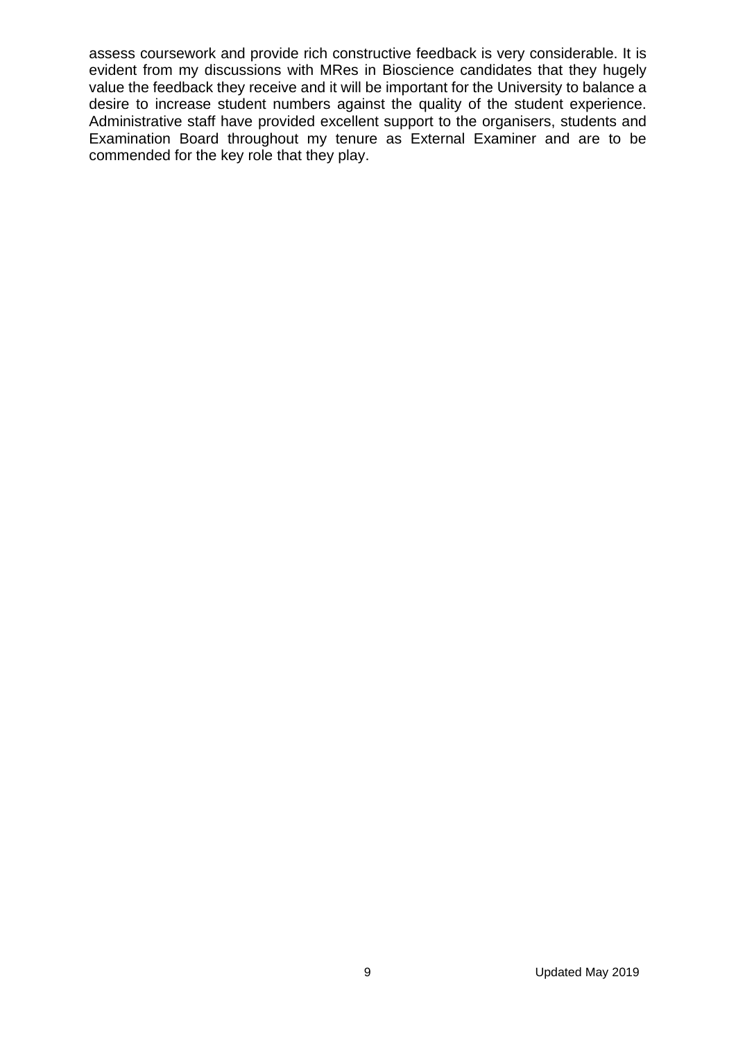assess coursework and provide rich constructive feedback is very considerable. It is evident from my discussions with MRes in Bioscience candidates that they hugely value the feedback they receive and it will be important for the University to balance a desire to increase student numbers against the quality of the student experience. Administrative staff have provided excellent support to the organisers, students and Examination Board throughout my tenure as External Examiner and are to be commended for the key role that they play.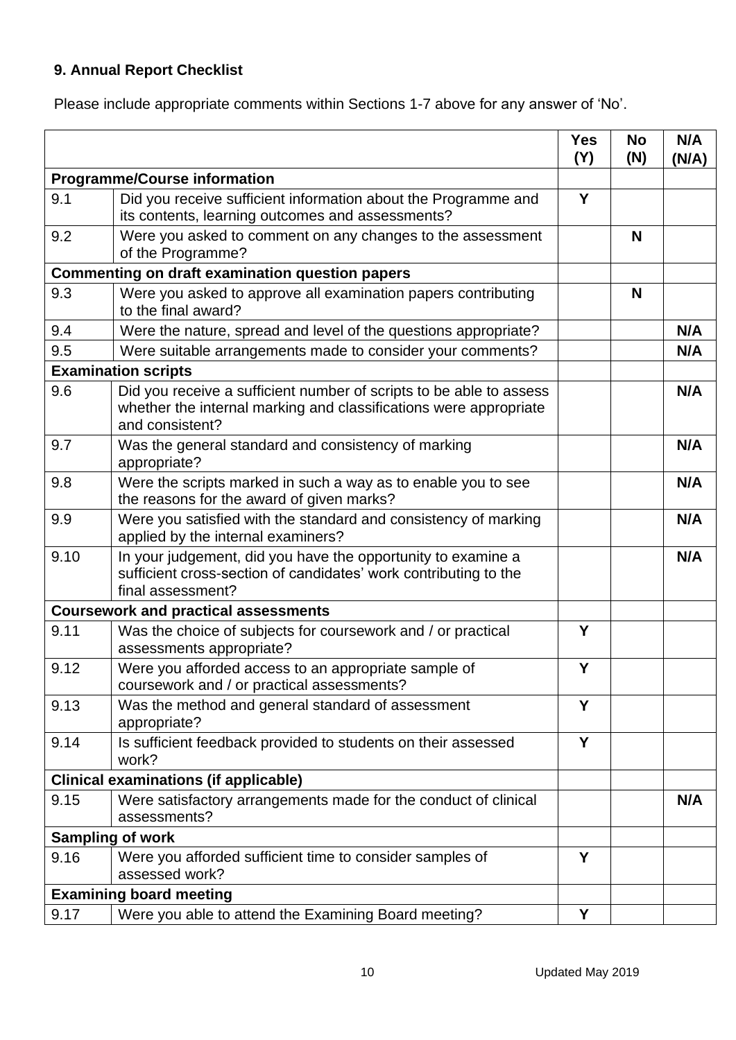# **9. Annual Report Checklist**

Please include appropriate comments within Sections 1-7 above for any answer of 'No'.

|                                                        |                                                                                                                                                             | <b>Yes</b><br>(Y) | <b>No</b><br>(N) | N/A<br>(N/A) |
|--------------------------------------------------------|-------------------------------------------------------------------------------------------------------------------------------------------------------------|-------------------|------------------|--------------|
| <b>Programme/Course information</b>                    |                                                                                                                                                             |                   |                  |              |
| 9.1                                                    | Did you receive sufficient information about the Programme and<br>its contents, learning outcomes and assessments?                                          | Y                 |                  |              |
| 9.2                                                    | Were you asked to comment on any changes to the assessment<br>of the Programme?                                                                             |                   | N                |              |
| <b>Commenting on draft examination question papers</b> |                                                                                                                                                             |                   |                  |              |
| 9.3                                                    | Were you asked to approve all examination papers contributing<br>to the final award?                                                                        |                   | N                |              |
| 9.4                                                    | Were the nature, spread and level of the questions appropriate?                                                                                             |                   |                  | N/A          |
| 9.5                                                    | Were suitable arrangements made to consider your comments?                                                                                                  |                   |                  | N/A          |
| <b>Examination scripts</b>                             |                                                                                                                                                             |                   |                  |              |
| 9.6                                                    | Did you receive a sufficient number of scripts to be able to assess<br>whether the internal marking and classifications were appropriate<br>and consistent? |                   |                  | N/A          |
| 9.7                                                    | Was the general standard and consistency of marking<br>appropriate?                                                                                         |                   |                  | N/A          |
| 9.8                                                    | Were the scripts marked in such a way as to enable you to see<br>the reasons for the award of given marks?                                                  |                   |                  | N/A          |
| 9.9                                                    | Were you satisfied with the standard and consistency of marking<br>applied by the internal examiners?                                                       |                   |                  | N/A          |
| 9.10                                                   | In your judgement, did you have the opportunity to examine a<br>sufficient cross-section of candidates' work contributing to the<br>final assessment?       |                   |                  | N/A          |
| <b>Coursework and practical assessments</b>            |                                                                                                                                                             |                   |                  |              |
| 9.11                                                   | Was the choice of subjects for coursework and / or practical<br>assessments appropriate?                                                                    | Y                 |                  |              |
| 9.12                                                   | Were you afforded access to an appropriate sample of<br>coursework and / or practical assessments?                                                          | Y                 |                  |              |
| 9.13                                                   | Was the method and general standard of assessment<br>appropriate?                                                                                           | Y                 |                  |              |
| 9.14                                                   | Is sufficient feedback provided to students on their assessed<br>work?                                                                                      | Y                 |                  |              |
| <b>Clinical examinations (if applicable)</b>           |                                                                                                                                                             |                   |                  |              |
| 9.15                                                   | Were satisfactory arrangements made for the conduct of clinical<br>assessments?                                                                             |                   |                  | N/A          |
|                                                        | <b>Sampling of work</b>                                                                                                                                     |                   |                  |              |
| 9.16                                                   | Were you afforded sufficient time to consider samples of<br>assessed work?                                                                                  | Y                 |                  |              |
|                                                        | <b>Examining board meeting</b>                                                                                                                              |                   |                  |              |
| 9.17                                                   | Were you able to attend the Examining Board meeting?                                                                                                        | Υ                 |                  |              |